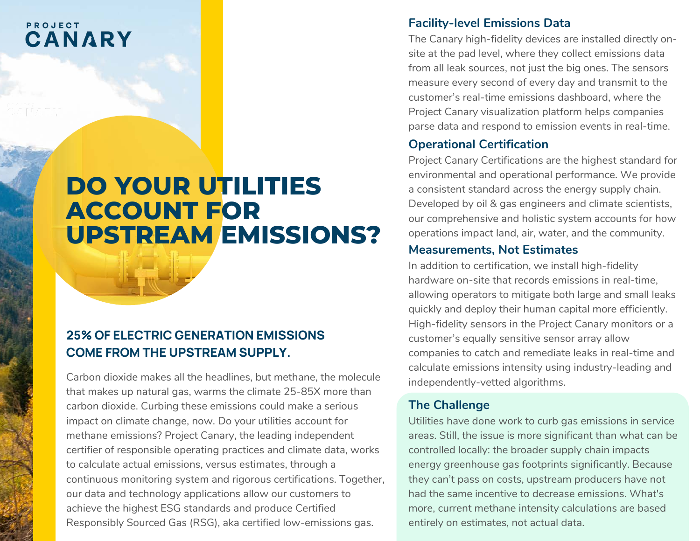# PROJECT CANARY

# **DO YOUR UTILITIES ACCOUNT FOR UPSTREAM EMISSIONS?**

# **25% OF ELECTRIC GENERATION EMISSIONS COME FROM THE UPSTREAM SUPPLY.**

Carbon dioxide makes all the headlines, but methane, the molecule that makes up natural gas, warms the climate 25-85X more than carbon dioxide. Curbing these emissions could make a serious impact on climate change, now. Do your utilities account for methane emissions? Project Canary, the leading independent certifier of responsible operating practices and climate data, works to calculate actual emissions, versus estimates, through a continuous monitoring system and rigorous certifications. Together, our data and technology applications allow our customers to achieve the highest ESG standards and produce Certified Responsibly Sourced Gas (RSG), aka certified low-emissions gas.

#### **Facility-level Emissions Data**

The Canary high-fidelity devices are installed directly onsite at the pad level, where they collect emissions data from all leak sources, not just the big ones. The sensors measure every second of every day and transmit to the customer's real-time emissions dashboard, where the Project Canary visualization platform helps companies parse data and respond to emission events in real-time.

## **Operational Certification**

Project Canary Certifications are the highest standard for environmental and operational performance. We provide a consistent standard across the energy supply chain. Developed by oil & gas engineers and climate scientists, our comprehensive and holistic system accounts for how operations impact land, air, water, and the community.

#### **Measurements, Not Estimates**

In addition to certification, we install high-fidelity hardware on-site that records emissions in real-time, allowing operators to mitigate both large and small leaks quickly and deploy their human capital more efficiently. High-fidelity sensors in the Project Canary monitors or a customer's equally sensitive sensor array allow companies to catch and remediate leaks in real-time and calculate emissions intensity using industry-leading and independently-vetted algorithms.

## **The Challenge**

Utilities have done work to curb gas emissions in service areas. Still, the issue is more significant than what can be controlled locally: the broader supply chain impacts energy greenhouse gas footprints significantly. Because they can't pass on costs, upstream producers have not had the same incentive to decrease emissions. What's more, current methane intensity calculations are based entirely on estimates, not actual data.